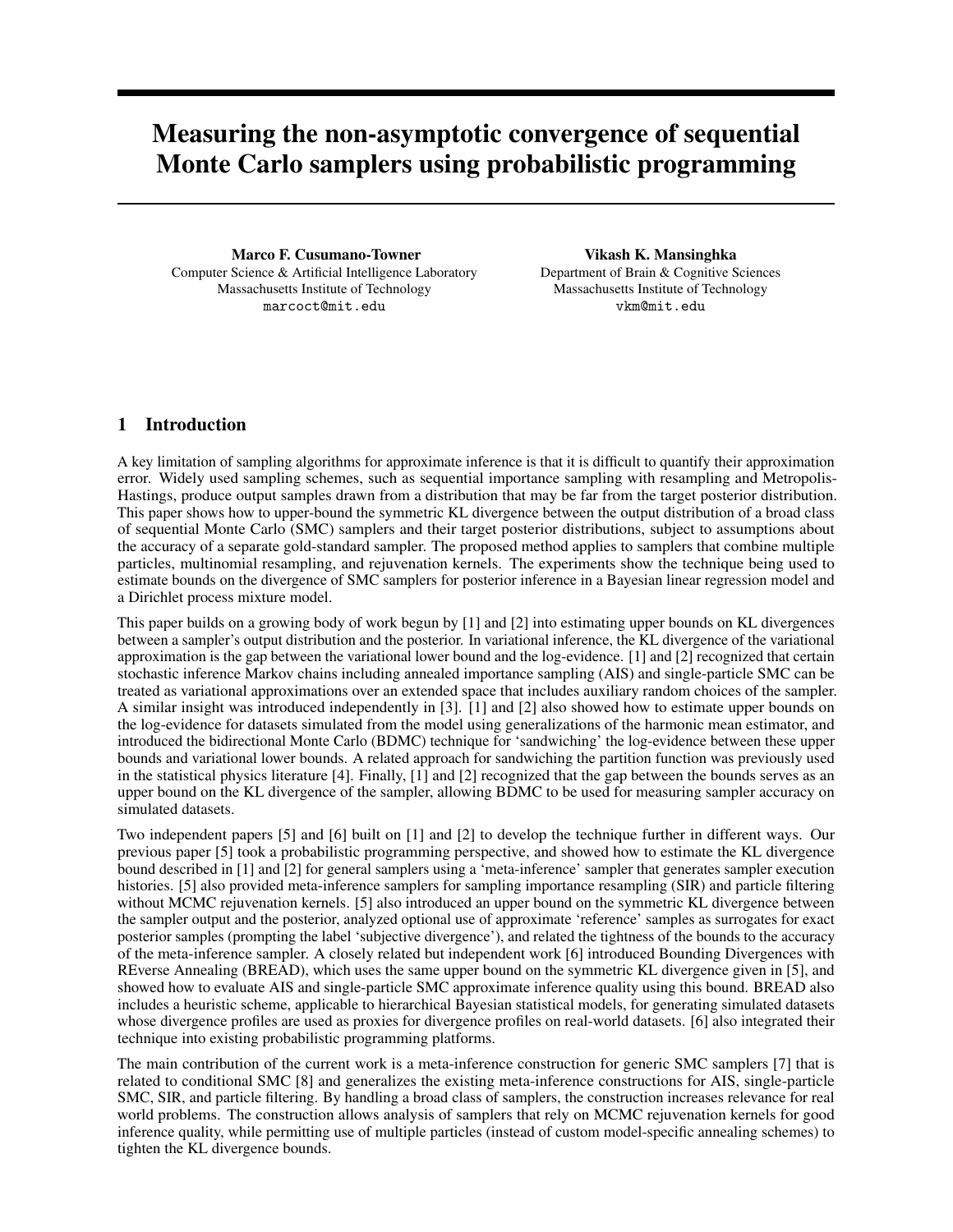# Measuring the non-asymptotic convergence of sequential Monte Carlo samplers using probabilistic programming

Marco F. Cusumano-Towner Computer Science & Artificial Intelligence Laboratory Massachusetts Institute of Technology marcoct@mit.edu

Vikash K. Mansinghka Department of Brain & Cognitive Sciences Massachusetts Institute of Technology vkm@mit.edu

# 1 Introduction

A key limitation of sampling algorithms for approximate inference is that it is difficult to quantify their approximation error. Widely used sampling schemes, such as sequential importance sampling with resampling and Metropolis-Hastings, produce output samples drawn from a distribution that may be far from the target posterior distribution. This paper shows how to upper-bound the symmetric KL divergence between the output distribution of a broad class of sequential Monte Carlo (SMC) samplers and their target posterior distributions, subject to assumptions about the accuracy of a separate gold-standard sampler. The proposed method applies to samplers that combine multiple particles, multinomial resampling, and rejuvenation kernels. The experiments show the technique being used to estimate bounds on the divergence of SMC samplers for posterior inference in a Bayesian linear regression model and a Dirichlet process mixture model.

This paper builds on a growing body of work begun by [1] and [2] into estimating upper bounds on KL divergences between a sampler's output distribution and the posterior. In variational inference, the KL divergence of the variational approximation is the gap between the variational lower bound and the log-evidence. [1] and [2] recognized that certain stochastic inference Markov chains including annealed importance sampling (AIS) and single-particle SMC can be treated as variational approximations over an extended space that includes auxiliary random choices of the sampler. A similar insight was introduced independently in [3]. [1] and [2] also showed how to estimate upper bounds on the log-evidence for datasets simulated from the model using generalizations of the harmonic mean estimator, and introduced the bidirectional Monte Carlo (BDMC) technique for 'sandwiching' the log-evidence between these upper bounds and variational lower bounds. A related approach for sandwiching the partition function was previously used in the statistical physics literature [4]. Finally, [1] and [2] recognized that the gap between the bounds serves as an upper bound on the KL divergence of the sampler, allowing BDMC to be used for measuring sampler accuracy on simulated datasets.

Two independent papers [5] and [6] built on [1] and [2] to develop the technique further in different ways. Our previous paper [5] took a probabilistic programming perspective, and showed how to estimate the KL divergence bound described in [1] and [2] for general samplers using a 'meta-inference' sampler that generates sampler execution histories. [5] also provided meta-inference samplers for sampling importance resampling (SIR) and particle filtering without MCMC rejuvenation kernels. [5] also introduced an upper bound on the symmetric KL divergence between the sampler output and the posterior, analyzed optional use of approximate 'reference' samples as surrogates for exact posterior samples (prompting the label 'subjective divergence'), and related the tightness of the bounds to the accuracy of the meta-inference sampler. A closely related but independent work [6] introduced Bounding Divergences with REverse Annealing (BREAD), which uses the same upper bound on the symmetric KL divergence given in [5], and showed how to evaluate AIS and single-particle SMC approximate inference quality using this bound. BREAD also includes a heuristic scheme, applicable to hierarchical Bayesian statistical models, for generating simulated datasets whose divergence profiles are used as proxies for divergence profiles on real-world datasets. [6] also integrated their technique into existing probabilistic programming platforms.

The main contribution of the current work is a meta-inference construction for generic SMC samplers [7] that is related to conditional SMC [8] and generalizes the existing meta-inference constructions for AIS, single-particle SMC, SIR, and particle filtering. By handling a broad class of samplers, the construction increases relevance for real world problems. The construction allows analysis of samplers that rely on MCMC rejuvenation kernels for good inference quality, while permitting use of multiple particles (instead of custom model-specific annealing schemes) to tighten the KL divergence bounds.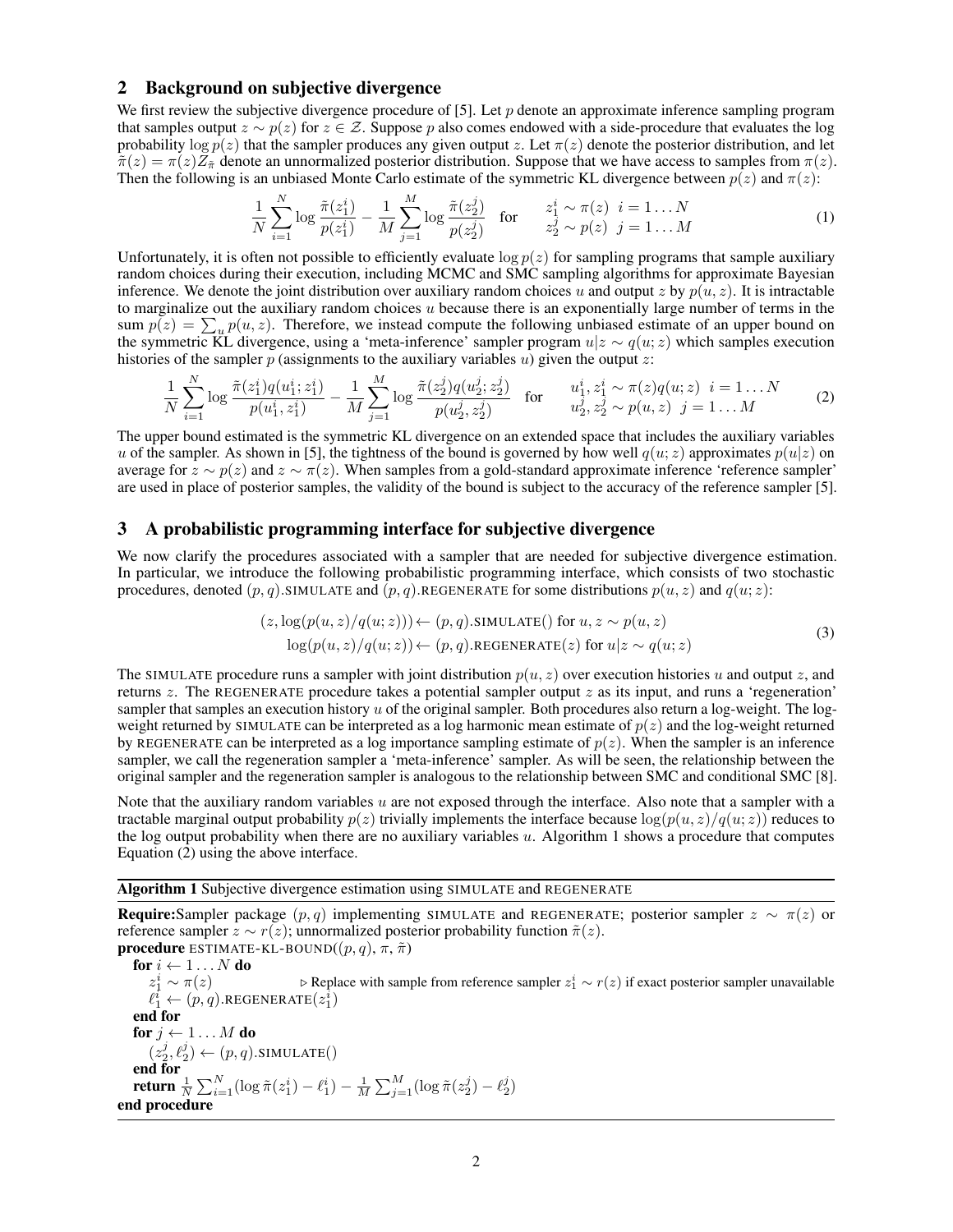## 2 Background on subjective divergence

We first review the subjective divergence procedure of [5]. Let  $p$  denote an approximate inference sampling program that samples output  $z \sim p(z)$  for  $z \in \mathcal{Z}$ . Suppose p also comes endowed with a side-procedure that evaluates the log probability  $\log p(z)$  that the sampler produces any given output z. Let  $\pi(z)$  denote the posterior distribution, and let  $\tilde{\pi}(z) = \pi(z)Z_{\tilde{\pi}}$  denote an unnormalized posterior distribution. Suppose that we have access to samples from  $\pi(z)$ . Then the following is an unbiased Monte Carlo estimate of the symmetric KL divergence between  $p(z)$  and  $\pi(z)$ :

$$
\frac{1}{N} \sum_{i=1}^{N} \log \frac{\tilde{\pi}(z_1^i)}{p(z_1^i)} - \frac{1}{M} \sum_{j=1}^{M} \log \frac{\tilde{\pi}(z_2^j)}{p(z_2^j)} \quad \text{for} \quad z_1^i \sim \pi(z) \quad i = 1...N
$$
\n(1)

Unfortunately, it is often not possible to efficiently evaluate  $\log p(z)$  for sampling programs that sample auxiliary random choices during their execution, including MCMC and SMC sampling algorithms for approximate Bayesian inference. We denote the joint distribution over auxiliary random choices u and output z by  $p(u, z)$ . It is intractable to marginalize out the auxiliary random choices  $u$  because there is an exponentially large number of terms in the sum  $p(z) = \sum_{u} p(u, z)$ . Therefore, we instead compute the following unbiased estimate of an upper bound on the symmetric KL divergence, using a 'meta-inference' sampler program  $u|z \sim q(u; z)$  which samples execution histories of the sampler  $p$  (assignments to the auxiliary variables  $u$ ) given the output  $z$ :

$$
\frac{1}{N} \sum_{i=1}^{N} \log \frac{\tilde{\pi}(z_1^i) q(u_1^i; z_1^i)}{p(u_1^i, z_1^i)} - \frac{1}{M} \sum_{j=1}^{M} \log \frac{\tilde{\pi}(z_2^j) q(u_2^j; z_2^j)}{p(u_2^j, z_2^j)} \quad \text{for} \quad u_1^i, z_1^i \sim \pi(z) q(u; z) \quad i = 1...N
$$
\n(2)

The upper bound estimated is the symmetric KL divergence on an extended space that includes the auxiliary variables u of the sampler. As shown in [5], the tightness of the bound is governed by how well  $q(u; z)$  approximates  $p(u|z)$  on average for  $z \sim p(z)$  and  $z \sim \pi(z)$ . When samples from a gold-standard approximate inference 'reference sampler' are used in place of posterior samples, the validity of the bound is subject to the accuracy of the reference sampler [5].

### 3 A probabilistic programming interface for subjective divergence

We now clarify the procedures associated with a sampler that are needed for subjective divergence estimation. In particular, we introduce the following probabilistic programming interface, which consists of two stochastic procedures, denoted  $(p, q)$ .SIMULATE and  $(p, q)$ .REGENERATE for some distributions  $p(u, z)$  and  $q(u; z)$ :

$$
(z, \log(p(u, z)/q(u; z))) \leftarrow (p, q). \text{SIMULATE}() \text{ for } u, z \sim p(u, z)
$$
  

$$
\log(p(u, z)/q(u; z)) \leftarrow (p, q). \text{REGENERATE}(z) \text{ for } u | z \sim q(u; z)
$$
 (3)

The SIMULATE procedure runs a sampler with joint distribution  $p(u, z)$  over execution histories u and output z, and returns  $z$ . The REGENERATE procedure takes a potential sampler output  $z$  as its input, and runs a 'regeneration' sampler that samples an execution history  $u$  of the original sampler. Both procedures also return a log-weight. The logweight returned by SIMULATE can be interpreted as a log harmonic mean estimate of  $p(z)$  and the log-weight returned by REGENERATE can be interpreted as a log importance sampling estimate of  $p(z)$ . When the sampler is an inference sampler, we call the regeneration sampler a 'meta-inference' sampler. As will be seen, the relationship between the original sampler and the regeneration sampler is analogous to the relationship between SMC and conditional SMC [8].

Note that the auxiliary random variables  $u$  are not exposed through the interface. Also note that a sampler with a tractable marginal output probability  $p(z)$  trivially implements the interface because  $\log(p(u, z)/q(u; z))$  reduces to the log output probability when there are no auxiliary variables  $u$ . Algorithm 1 shows a procedure that computes Equation (2) using the above interface.

#### Algorithm 1 Subjective divergence estimation using SIMULATE and REGENERATE

**Require:**Sampler package  $(p, q)$  implementing SIMULATE and REGENERATE; posterior sampler  $z \sim \pi(z)$  or reference sampler  $z \sim r(z)$ ; unnormalized posterior probability function  $\tilde{\pi}(z)$ . **procedure** ESTIMATE-KL-BOUND( $(p, q)$ ,  $\pi$ ,  $\tilde{\pi}$ )

for  $i \leftarrow 1...N$  do  $z_1^i$  $\frac{i}{1} \sim \pi(z)$  . ⊳ Replace with sample from reference sampler  $z_1^i \sim r(z)$  if exact posterior sampler unavailable  $\ell_{1}^{\tilde{i}} \leftarrow (p,q).$ REGENERATE $(z_1^{\tilde{i}})$ end for for  $j \leftarrow 1 \dots M$  do  $(z_2^j, \ell_2^j) \leftarrow (p, q).$ SIMULATE() end for return  $\frac{1}{N}\sum_{i=1}^N (\log \tilde{\pi}(z_1^i) - \ell_1^i) - \frac{1}{M}\sum_{j=1}^M (\log \tilde{\pi}(z_2^j) - \ell_2^j)$ end procedure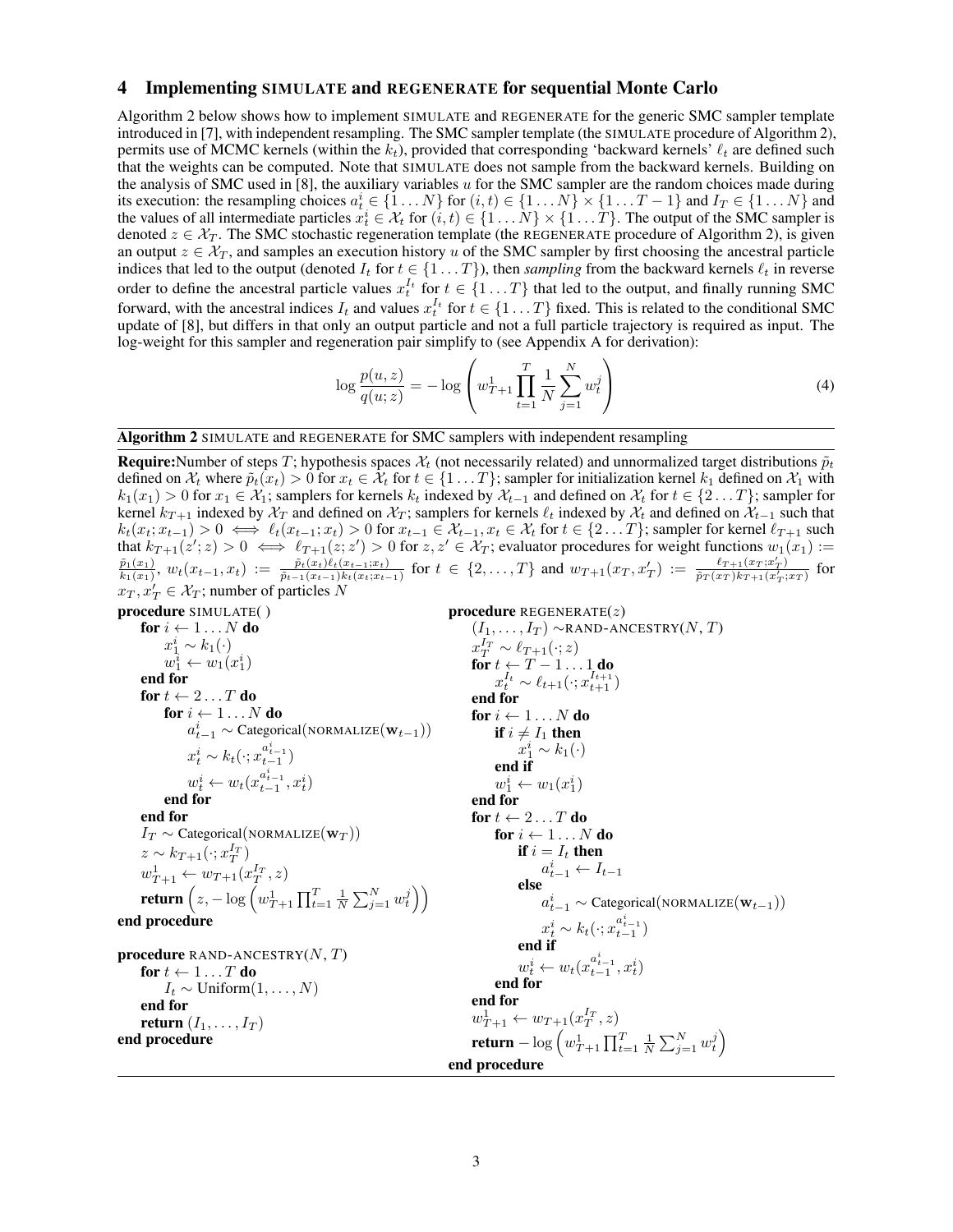## 4 Implementing SIMULATE and REGENERATE for sequential Monte Carlo

Algorithm 2 below shows how to implement SIMULATE and REGENERATE for the generic SMC sampler template introduced in [7], with independent resampling. The SMC sampler template (the SIMULATE procedure of Algorithm 2), permits use of MCMC kernels (within the  $k_t$ ), provided that corresponding 'backward kernels'  $\ell_t$  are defined such that the weights can be computed. Note that SIMULATE does not sample from the backward kernels. Building on the analysis of SMC used in [8], the auxiliary variables  $u$  for the SMC sampler are the random choices made during its execution: the resampling choices  $a_t^i \in \{1 \dots N\}$  for  $(i, t) \in \{1 \dots N\} \times \{1 \dots T - 1\}$  and  $I_T \in \{1 \dots N\}$  and the values of all intermediate particles  $x_t^i \in \mathcal{X}_t$  for  $(i, t) \in \{1, \dots N\} \times \{1, \dots T\}$ . The output of the SMC sampler is denoted  $z \in \mathcal{X}_T$ . The SMC stochastic regeneration template (the REGENERATE procedure of Algorithm 2), is given an output  $z \in \mathcal{X}_T$ , and samples an execution history u of the SMC sampler by first choosing the ancestral particle indices that led to the output (denoted  $I_t$  for  $t \in \{1 \dots T\}$ ), then *sampling* from the backward kernels  $\ell_t$  in reverse order to define the ancestral particle values  $x_t^{I_t}$  for  $t \in \{1...T\}$  that led to the output, and finally running SMC forward, with the ancestral indices  $I_t$  and values  $x_t^{I_t}$  for  $t \in \{1...T\}$  fixed. This is related to the conditional SMC update of [8], but differs in that only an output particle and not a full particle trajectory is required as input. The log-weight for this sampler and regeneration pair simplify to (see Appendix A for derivation):

$$
\log \frac{p(u, z)}{q(u, z)} = -\log \left( w_{T+1}^1 \prod_{t=1}^T \frac{1}{N} \sum_{j=1}^N w_t^j \right) \tag{4}
$$

Algorithm 2 SIMULATE and REGENERATE for SMC samplers with independent resampling

**Require:**Number of steps T; hypothesis spaces  $X_t$  (not necessarily related) and unnormalized target distributions  $\tilde{p}_t$ defined on  $\mathcal{X}_t$  where  $\tilde{p}_t(x_t) > 0$  for  $x_t \in \mathcal{X}_t$  for  $t \in \{1 \dots T\}$ ; sampler for initialization kernel  $k_1$  defined on  $\mathcal{X}_1$  with  $k_1(x_1) > 0$  for  $x_1 \in \mathcal{X}_1$ ; samplers for kernels  $k_t$  indexed by  $\mathcal{X}_{t-1}$  and defined on  $\mathcal{X}_t$  for  $t \in \{2 \dots T\}$ ; sampler for kernel  $k_{T+1}$  indexed by  $\mathcal{X}_T$  and defined on  $\mathcal{X}_T$ ; samplers for kernels  $\ell_t$  indexed by  $\mathcal{X}_t$  and defined on  $\mathcal{X}_{t-1}$  such that  $k_t(x_t; x_{t-1}) > 0 \iff \ell_t(x_{t-1}; x_t) > 0$  for  $x_{t-1} \in \mathcal{X}_{t-1}, x_t \in \mathcal{X}_t$  for  $t \in \{2 \dots T\}$ ; sampler for kernel  $\ell_{T+1}$  such that  $k_{T+1}(z'; z) > 0 \iff \ell_{T+1}(z; z') > 0$  for  $z, z' \in \mathcal{X}_T$ ; evaluator procedures for weight functions  $w_1(x_1) :=$  $\tilde{p}_1(x_1)$  $\frac{\tilde{p}_1(x_1)}{k_1(x_1)}, w_t(x_{t-1}, x_t) := \frac{\tilde{p}_t(x_t)\ell_t(x_{t-1}; x_t)}{\tilde{p}_{t-1}(x_{t-1})k_t(x_t; x_{t-1})}$  for  $t \in \{2, \ldots, T\}$  and  $w_{T+1}(x_T, x_T') := \frac{\ell_{T+1}(x_T; x_T')}{\tilde{p}_T(x_T)k_{T+1}(x_T'; x_T)}$  for  $x_T, x'_T \in \mathcal{X}_T$ ; number of particles N procedure SIMULATE( ) for  $i \leftarrow 1...N$  do  $x_1^i \sim k_1(\cdot)$  $w_1^i \leftarrow w_1(x_1^i)$ end for for  $t \leftarrow 2 \dots T$  do for  $i \leftarrow 1...N$  do  $a_{t-1}^i \sim$  Categorical(NORMALIZE( $\mathbf{w}_{t-1}$ ))  $x_t^i \sim k_t(\cdot; x_{t-1}^{a_{t-1}^i})$  $w_t^i \leftarrow w_t(x_{t-1}^{a_{t-1}^i}, x_t^i)$ end for end for  $I_T \sim$  Categorical(NORMALIZE( $\mathbf{w}_T$ ))  $z \sim k_{T+1}(\cdot; x_T^{I_T})$  $w_1^1 + w_1^1 + w_2^1 + w_3^1$  $w_{T+1} \leftarrow w_{T+1} (x_T^-, z)$ <br>return  $\left(z, -\log\left(w_{T+1}^1\prod_{t=1}^T\frac{1}{N}\sum_{j=1}^N w_t^j\right)\right)$ end procedure **procedure** RAND-ANCESTRY $(N, T)$ for  $t \leftarrow 1 \dots T$  do  $I_t$  ∼ Uniform $(1,\ldots,N)$ end for return  $(I_1, \ldots, I_T)$ end procedure **procedure** REGENERATE $(z)$  $(I_1, \ldots, I_T) \sim$ RAND-ANCESTRY $(N, T)$  $x_T^{I_T} \sim \ell_{T+1}(\cdot; z)$ for  $t \leftarrow T - 1 \dots 1$ <sub>r</sub>do  $x_t^{I_t} \sim \ell_{t+1}(\cdot; x_{t+1}^{I_{t+1}})$ end for for  $i \leftarrow 1 \dots N$  do if  $i \neq I_1$  then  $x_1^i \sim k_1(\cdot)$ end if  $w_1^i \leftarrow w_1(x_1^i)$ end for for  $t \leftarrow 2 \dots T$  do for  $i \leftarrow 1...N$  do if  $i = I_t$  then  $a_{t-1}^i \leftarrow I_{t-1}$ else  $a_{t-1}^i \sim$  Categorical(NORMALIZE $(\mathbf{w}_{t-1}))$  $x_t^i \sim k_t(\cdot; x_{t-1}^{a_{t-1}^i})$ end if  $w_t^i \leftarrow w_t(x_{t-1}^{a_{t-1}^i}, x_t^i)$ end for end for  $w_{T+1}^1 \leftarrow w_{T+1}(x_T^{I_T}, z)$ return —  $\log \left( w_{T+1}^1 \prod_{t=1}^T \frac{1}{N} \sum_{j=1}^N w_t^j \right)$ end procedure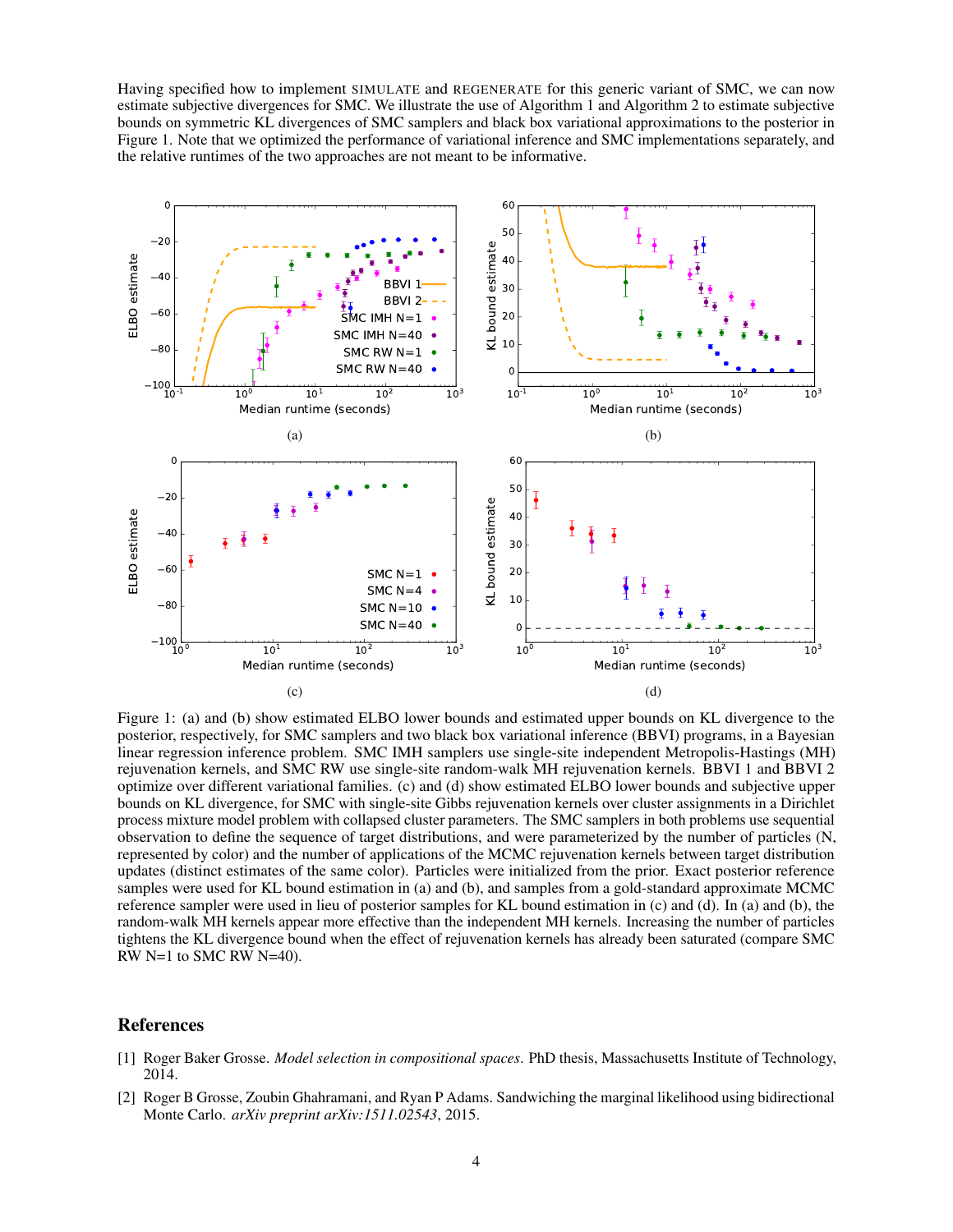Having specified how to implement SIMULATE and REGENERATE for this generic variant of SMC, we can now estimate subjective divergences for SMC. We illustrate the use of Algorithm 1 and Algorithm 2 to estimate subjective bounds on symmetric KL divergences of SMC samplers and black box variational approximations to the posterior in Figure 1. Note that we optimized the performance of variational inference and SMC implementations separately, and the relative runtimes of the two approaches are not meant to be informative.



Figure 1: (a) and (b) show estimated ELBO lower bounds and estimated upper bounds on KL divergence to the posterior, respectively, for SMC samplers and two black box variational inference (BBVI) programs, in a Bayesian linear regression inference problem. SMC IMH samplers use single-site independent Metropolis-Hastings (MH) rejuvenation kernels, and SMC RW use single-site random-walk MH rejuvenation kernels. BBVI 1 and BBVI 2 optimize over different variational families. (c) and (d) show estimated ELBO lower bounds and subjective upper bounds on KL divergence, for SMC with single-site Gibbs rejuvenation kernels over cluster assignments in a Dirichlet process mixture model problem with collapsed cluster parameters. The SMC samplers in both problems use sequential observation to define the sequence of target distributions, and were parameterized by the number of particles (N, represented by color) and the number of applications of the MCMC rejuvenation kernels between target distribution updates (distinct estimates of the same color). Particles were initialized from the prior. Exact posterior reference samples were used for KL bound estimation in (a) and (b), and samples from a gold-standard approximate MCMC reference sampler were used in lieu of posterior samples for KL bound estimation in (c) and (d). In (a) and (b), the random-walk MH kernels appear more effective than the independent MH kernels. Increasing the number of particles tightens the KL divergence bound when the effect of rejuvenation kernels has already been saturated (compare SMC RW N=1 to SMC RW N=40).

# References

- [1] Roger Baker Grosse. *Model selection in compositional spaces*. PhD thesis, Massachusetts Institute of Technology, 2014.
- [2] Roger B Grosse, Zoubin Ghahramani, and Ryan P Adams. Sandwiching the marginal likelihood using bidirectional Monte Carlo. *arXiv preprint arXiv:1511.02543*, 2015.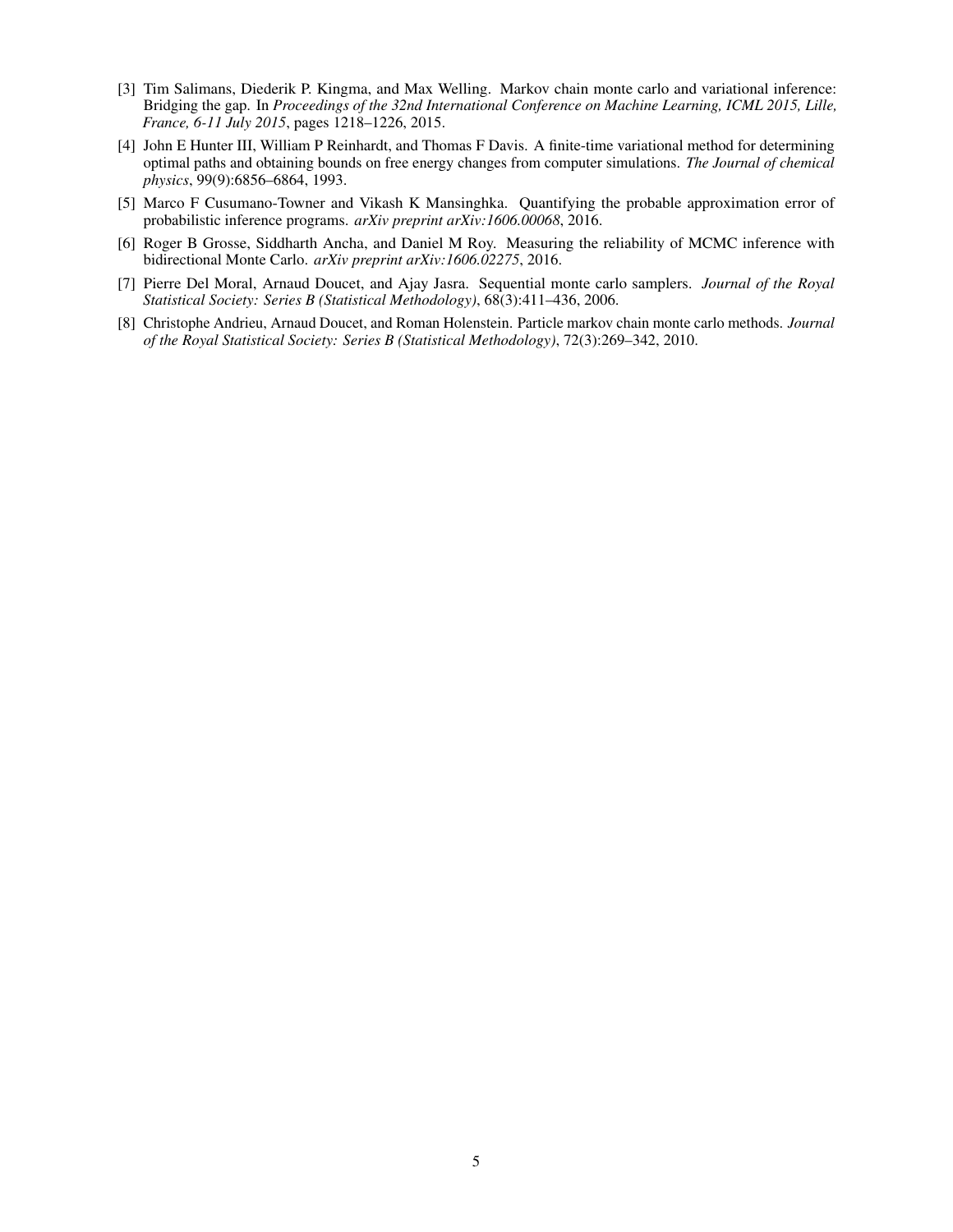- [3] Tim Salimans, Diederik P. Kingma, and Max Welling. Markov chain monte carlo and variational inference: Bridging the gap. In *Proceedings of the 32nd International Conference on Machine Learning, ICML 2015, Lille, France, 6-11 July 2015*, pages 1218–1226, 2015.
- [4] John E Hunter III, William P Reinhardt, and Thomas F Davis. A finite-time variational method for determining optimal paths and obtaining bounds on free energy changes from computer simulations. *The Journal of chemical physics*, 99(9):6856–6864, 1993.
- [5] Marco F Cusumano-Towner and Vikash K Mansinghka. Quantifying the probable approximation error of probabilistic inference programs. *arXiv preprint arXiv:1606.00068*, 2016.
- [6] Roger B Grosse, Siddharth Ancha, and Daniel M Roy. Measuring the reliability of MCMC inference with bidirectional Monte Carlo. *arXiv preprint arXiv:1606.02275*, 2016.
- [7] Pierre Del Moral, Arnaud Doucet, and Ajay Jasra. Sequential monte carlo samplers. *Journal of the Royal Statistical Society: Series B (Statistical Methodology)*, 68(3):411–436, 2006.
- [8] Christophe Andrieu, Arnaud Doucet, and Roman Holenstein. Particle markov chain monte carlo methods. *Journal of the Royal Statistical Society: Series B (Statistical Methodology)*, 72(3):269–342, 2010.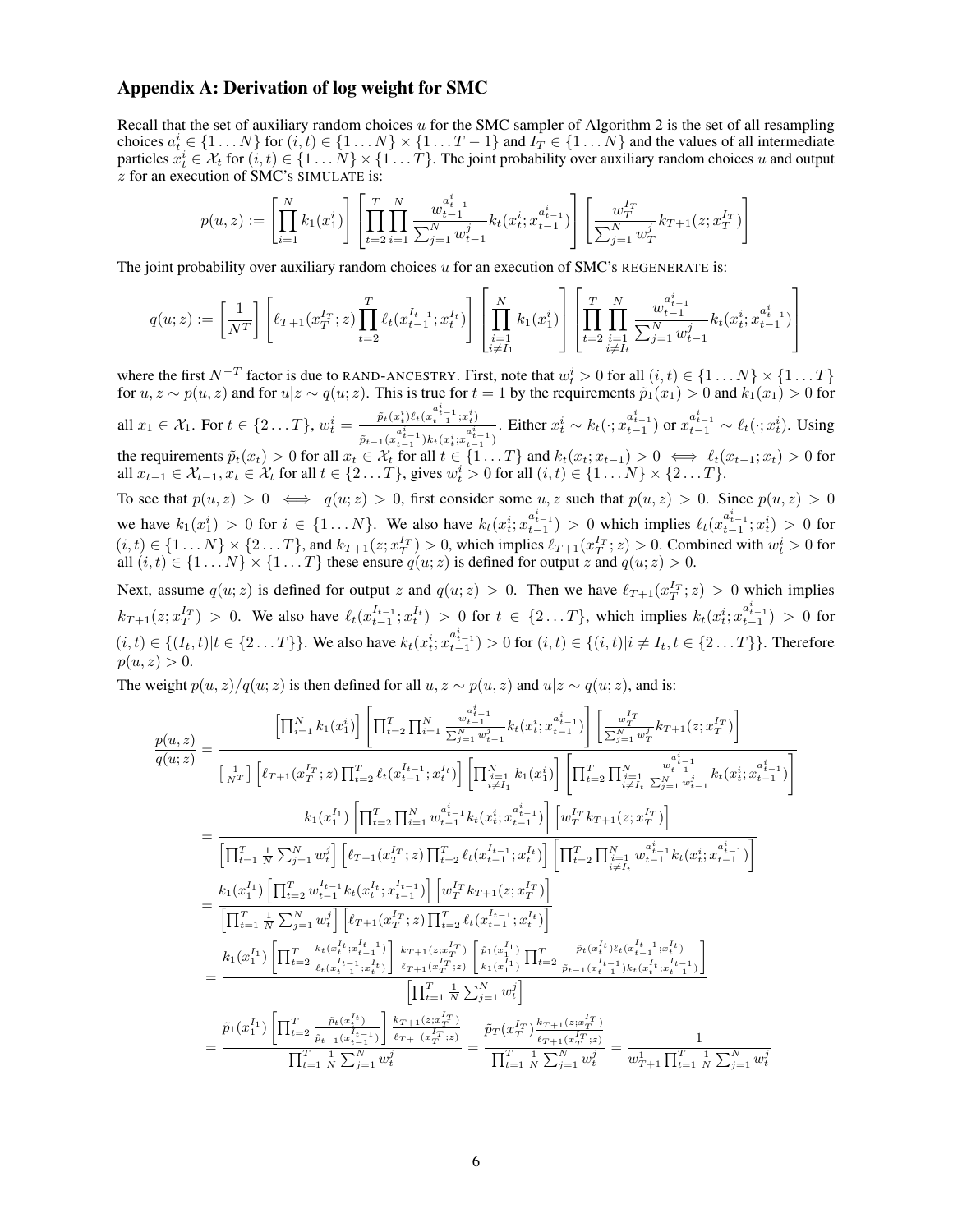## Appendix A: Derivation of log weight for SMC

Recall that the set of auxiliary random choices  $u$  for the SMC sampler of Algorithm 2 is the set of all resampling choices  $a_t^i \in \{1 \dots N\}$  for  $(i, t) \in \{1 \dots N\} \times \{1 \dots T - 1\}$  and  $I_T \in \{1 \dots N\}$  and the values of all intermediate particles  $x_t^i \in \mathcal{X}_t$  for  $(i, t) \in \{1, \dots N\} \times \{1, \dots T\}$ . The joint probability over auxiliary random choices u and output z for an execution of SMC's SIMULATE is:

$$
p(u, z) := \left[ \prod_{i=1}^{N} k_1(x_1^i) \right] \left[ \prod_{t=2}^{T} \prod_{i=1}^{N} \frac{w_{t-1}^{a_{t-1}^i}}{\sum_{j=1}^{N} w_{t-1}^j} k_t(x_t^i; x_{t-1}^{a_{t-1}^i}) \right] \left[ \frac{w_T^{I_T}}{\sum_{j=1}^{N} w_T^j} k_{T+1}(z; x_T^{I_T}) \right]
$$

The joint probability over auxiliary random choices u for an execution of SMC's REGENERATE is:

$$
q(u;z):=\left[\frac{1}{N^T}\right]\left[\ell_{T+1}(x_T^{I_T};z)\prod_{t=2}^T \ell_t(x_{t-1}^{I_{t-1}};x_t^{I_t})\right]\left[\prod_{\substack{i=1\\i\neq I_1}}^N k_1(x_1^i)\right]\left[\prod_{t=2}^T\prod_{\substack{i=1\\i\neq I_t}}^N \frac{w_{t-1}^{a_{t-1}^i}}{\sum_{j=1}^N w_{t-1}^j}k_t(x_t^i;x_{t-1}^{a_{t-1}^i})\right]
$$

where the first  $N^{-T}$  factor is due to RAND-ANCESTRY. First, note that  $w_t^i > 0$  for all  $(i, t) \in \{1 \dots N\} \times \{1 \dots T\}$ for  $u, z \sim p(u, z)$  and for  $u|z \sim q(u, z)$ . This is true for  $t = 1$  by the requirements  $\tilde{p}_1(x_1) > 0$  and  $k_1(x_1) > 0$  for all  $x_1 \in \mathcal{X}_1$ . For  $t \in \{2 \dots T\}$ ,  $w_t^i = \frac{\tilde{p}_t(x_t^i) \ell_t(x_{t-1}^{a_{t-1}^i}, x_t^i)}{a_t^i}$  $\overline{\tilde{p}_{t-1}(x_{t-1}^{a^i_{t-1}})k_t(x_t^i;x_{t-1}^{a^i_{t-1}})}$ . Either  $x_t^i \sim k_t(\cdot; x_{t-1}^{a_{t-1}^i})$  or  $x_{t-1}^{a_{t-1}^i} \sim \ell_t(\cdot; x_t^i)$ . Using the requirements  $\tilde{p}_t(x_t) > 0$  for all  $x_t \in \mathcal{X}_t$  for all  $t \in \{1 \dots T\}$  and  $k_t(x_t; x_{t-1}) > 0 \iff \ell_t(x_{t-1}; x_t) > 0$  for all  $x_{t-1} \in \mathcal{X}_{t-1}, x_t \in \mathcal{X}_t$  for all  $t \in \{2 \dots T\}$ , gives  $w_t^i > 0$  for all  $(i, t) \in \{1 \dots N\} \times \{2 \dots T\}$ . To see that  $p(u, z) > 0 \iff q(u, z) > 0$ , first consider some  $u, z$  such that  $p(u, z) > 0$ . Since  $p(u, z) > 0$ we have  $k_1(x_1^i) > 0$  for  $i \in \{1...N\}$ . We also have  $k_t(x_i^i; x_{t-1}^{a_{t-1}^i}) > 0$  which implies  $\ell_t(x_{t-1}^{a_{t-1}^i}; x_t^i) > 0$  for

 $(i, t) \in \{1 \dots N\} \times \{2 \dots T\}$ , and  $k_{T+1}(z; x_T^{I_T}) > 0$ , which implies  $\ell_{T+1}(x_T^{I_T}; z) > 0$ . Combined with  $w_t^i > 0$  for all  $(i, t) \in \{1 \dots N\} \times \{1 \dots T\}$  these ensure  $q(u; z)$  is defined for output z and  $q(u; z) > 0$ . Next, assume  $q(u; z)$  is defined for output z and  $q(u; z) > 0$ . Then we have  $\ell_{T+1}(x_T^{I_T}; z) > 0$  which implies  $k_{T+1}(z; x_T^{I_T}) > 0$ . We also have  $\ell_t(x_{t-1}^{I_{t-1}}; x_t^{I_t}) > 0$  for  $t \in \{2...T\}$ , which implies  $k_t(x_t^{i}; x_{t-1}^{a_{t-1}^{i}}) > 0$  for

 $(i, t) \in \{(I_t, t)|t \in \{2...T\}\}\.$  We also have  $k_t(x_t^i; x_{t-1}^{a_{t-1}^i}) > 0$  for  $(i, t) \in \{(i, t)|i \neq I_t, t \in \{2...T\}\}\.$  Therefore  $p(u, z) > 0.$ 

The weight  $p(u, z)/q(u; z)$  is then defined for all  $u, z \sim p(u, z)$  and  $u|z \sim q(u; z)$ , and is:

$$
\frac{p(u,z)}{q(u;z)} = \frac{\left[\prod_{i=1}^{N} k_1(x_1^i)\right] \left[\prod_{t=2}^{T} \prod_{i=1}^{N} \frac{w_{t_{t-1}}^{i_{t-1}}}{\sum_{j=1}^{N} w_{t-1}^j} k_t(x_t^i; x_{t-1}^{i_{t-1}})\right] \left[\frac{w_{T}^{Tr}}{\sum_{j=1}^{N} w_{T}^j} k_{T+1}(z; x_{T}^{Tr})\right]}{\left[\frac{1}{N^{Tr}}\right] \left[\ell_{T+1}(x_{T}^{Tr}; z) \prod_{t=2}^{T} \ell_{t}(x_{t-1}^{l_{t-1}}; x_{t}^{l_{t}})\right] \left[\prod_{i=1}^{N} k_1(x_1^i)\right] \left[\prod_{t=2}^{T} \prod_{i=1}^{N} k_1^j x_{t-1}^{i_{t-1}} k_t(x_t^i; x_{t-1}^{i_{t-1}})\right]}{\left[\prod_{t=1}^{T} \frac{1}{N} \sum_{j=1}^{N} w_{t}^j\right] \left[\ell_{T+1}(x_{T}^{Tr}; z) \prod_{t=2}^{T} \ell_{t}(x_{t-1}^{l_{t-1}}; x_{t}^{l_{t}})\right] \left[\prod_{t=2}^{T} \prod_{i=1}^{N} w_{t-1}^{i_{t-1}} k_t(x_t^i; x_{t-1}^{l_{t-1}})\right]}{\left[\prod_{t=1}^{T} \frac{1}{N} \sum_{j=1}^{N} w_{t}^j\right] \left[\ell_{T+1}(x_{T}^{lr}; z) \prod_{t=2}^{T} \ell_{t}(x_{t-1}^{l_{t-1}}; x_{t}^{l_{t}})\right] \left[\prod_{t=2}^{T} \prod_{i=1}^{N} w_{t-1}^{i_{t-1}} k_t(x_t^i; x_{t-1}^{i_{t-1}})\right]}{\left[\prod_{t=1}^{T} \frac{1}{N} \sum_{j=1}^{N} w_{t}^j\right] \left[\ell_{T+1}(x_{T}^{lr}; z) \prod_{t=2}^{T} \ell_{t}(x_{t-1}^{l_{t-1}}; x_{t}^{l_{t}})\right]}{\left[\prod_{t=1}^{T} \frac{1}{N} \sum_{j=1}
$$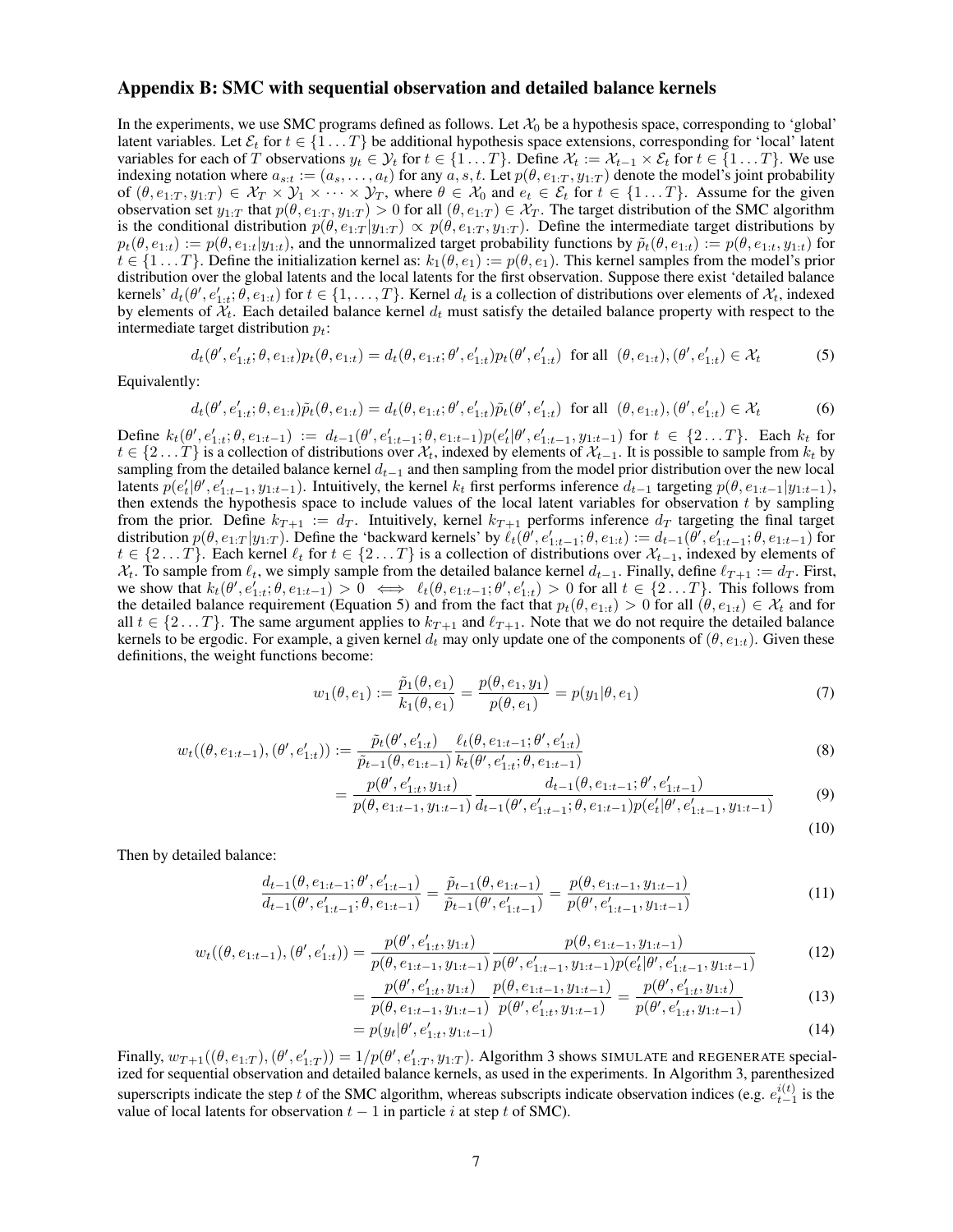## Appendix B: SMC with sequential observation and detailed balance kernels

In the experiments, we use SMC programs defined as follows. Let  $\mathcal{X}_0$  be a hypothesis space, corresponding to 'global' latent variables. Let  $\mathcal{E}_t$  for  $t \in \{1 \dots T\}$  be additional hypothesis space extensions, corresponding for 'local' latent variables for each of T observations  $y_t \in Y_t$  for  $t \in \{1...T\}$ . Define  $\mathcal{X}_t := \mathcal{X}_{t-1} \times \mathcal{E}_t$  for  $t \in \{1...T\}$ . We use indexing notation where  $a_{s:t} := (a_s, \ldots, a_t)$  for any  $a, s, t$ . Let  $p(\theta, e_{1:T}, y_{1:T})$  denote the model's joint probability of  $(\theta, e_{1:T}, y_{1:T}) \in \mathcal{X}_T \times \mathcal{Y}_1 \times \cdots \times \mathcal{Y}_T$ , where  $\theta \in \mathcal{X}_0$  and  $e_t \in \mathcal{E}_t$  for  $t \in \{1 \dots T\}$ . Assume for the given observation set  $y_{1:T}$  that  $p(\theta, e_{1:T}, y_{1:T}) > 0$  for all  $(\theta, e_{1:T}) \in \mathcal{X}_T$ . The target distribution of the SMC algorithm is the conditional distribution  $p(\theta, e_{1:T} | y_{1:T}) \propto p(\theta, e_{1:T}, y_{1:T})$ . Define the intermediate target distributions by  $p_t(\theta, e_{1:t}) := p(\theta, e_{1:t}|y_{1:t})$ , and the unnormalized target probability functions by  $\tilde{p}_t(\theta, e_{1:t}) := p(\theta, e_{1:t}, y_{1:t})$  for  $t \in \{1...T\}$ . Define the initialization kernel as:  $k_1(\theta, e_1) := p(\theta, e_1)$ . This kernel samples from the model's prior distribution over the global latents and the local latents for the first observation. Suppose there exist 'detailed balance kernels'  $d_t(\theta', e'_{1:t}; \theta, e_{1:t})$  for  $t \in \{1, \dots, T\}$ . Kernel  $d_t$  is a collection of distributions over elements of  $\mathcal{X}_t$ , indexed by elements of  $X_t$ . Each detailed balance kernel  $d_t$  must satisfy the detailed balance property with respect to the intermediate target distribution  $p_t$ :

$$
d_t(\theta', e'_{1:t}; \theta, e_{1:t}) p_t(\theta, e_{1:t}) = d_t(\theta, e_{1:t}; \theta', e'_{1:t}) p_t(\theta', e'_{1:t}) \text{ for all } (\theta, e_{1:t}), (\theta', e'_{1:t}) \in \mathcal{X}_t
$$
 (5)

Equivalently:

$$
d_t(\theta', e'_{1:t}; \theta, e_{1:t}) \tilde{p}_t(\theta, e_{1:t}) = d_t(\theta, e_{1:t}; \theta', e'_{1:t}) \tilde{p}_t(\theta', e'_{1:t}) \text{ for all } (\theta, e_{1:t}), (\theta', e'_{1:t}) \in \mathcal{X}_t
$$
 (6)

Define  $k_t(\theta', e'_{1:t}; \theta, e_{1:t-1}) := d_{t-1}(\theta', e'_{1:t-1}; \theta, e_{1:t-1}) p(e'_t | \theta', e'_{1:t-1}, y_{1:t-1})$  for  $t \in \{2...T\}$ . Each  $k_t$  for  $t \in \{2...T\}$  is a collection of distributions over  $\mathcal{X}_t$ , indexed by elements of  $\mathcal{X}_{t-1}$ . It is possible to sample from  $k_t$  by sampling from the detailed balance kernel  $d_{t-1}$  and then sampling from the model prior distribution over the new local latents  $p(e'_t | \theta', e'_{1:t-1}, y_{1:t-1})$ . Intuitively, the kernel  $k_t$  first performs inference  $d_{t-1}$  targeting  $p(\theta, e_{1:t-1} | y_{1:t-1})$ , then extends the hypothesis space to include values of the local latent variables for observation  $t$  by sampling from the prior. Define  $k_{T+1} := d_T$ . Intuitively, kernel  $k_{T+1}$  performs inference  $d_T$  targeting the final target distribution  $p(\theta, e_{1:T} | y_{1:T})$ . Define the 'backward kernels' by  $\ell_t(\theta', e'_{1:t-1}; \theta, e_{1:t}) := d_{t-1}(\theta', e'_{1:t-1}; \theta, e_{1:t-1})$  for  $t \in \{2...T\}$ . Each kernel  $\ell_t$  for  $t \in \{2...T\}$  is a collection of distributions over  $\mathcal{X}_{t-1}$ , indexed by elements of  $\mathcal{X}_t$ . To sample from  $\ell_t$ , we simply sample from the detailed balance kernel  $d_{t-1}$ . Finally, define  $\ell_{T+1} := d_T$ . First, we show that  $k_t(\theta', e'_{1:t}; \theta, e_{1:t-1}) > 0 \iff \ell_t(\theta, e_{1:t-1}; \theta', e'_{1:t}) > 0$  for all  $t \in \{2...T\}$ . This follows from the detailed balance requirement (Equation 5) and from the fact that  $p_t(\theta, e_{1:t}) > 0$  for all  $(\theta, e_{1:t}) \in \mathcal{X}_t$  and for all  $t \in \{2...T\}$ . The same argument applies to  $k_{T+1}$  and  $\ell_{T+1}$ . Note that we do not require the detailed balance kernels to be ergodic. For example, a given kernel  $d_t$  may only update one of the components of  $(\theta, e_{1:t})$ . Given these definitions, the weight functions become:

$$
w_1(\theta, e_1) := \frac{\tilde{p}_1(\theta, e_1)}{k_1(\theta, e_1)} = \frac{p(\theta, e_1, y_1)}{p(\theta, e_1)} = p(y_1 | \theta, e_1)
$$
\n<sup>(7)</sup>

$$
w_t((\theta, e_{1:t-1}), (\theta', e'_{1:t})) := \frac{\tilde{p}_t(\theta', e'_{1:t})}{\tilde{p}_{t-1}(\theta, e_{1:t-1})} \frac{\ell_t(\theta, e_{1:t-1}; \theta', e'_{1:t})}{k_t(\theta', e'_{1:t}; \theta, e_{1:t-1})}
$$
(8)

$$
= \frac{p(\theta', e'_{1:t}, y_{1:t})}{p(\theta, e_{1:t-1}, y_{1:t-1})} \frac{d_{t-1}(\theta, e_{1:t-1}; \theta', e'_{1:t-1})}{d_{t-1}(\theta', e'_{1:t-1}; \theta, e_{1:t-1}) p(e'_{t}|\theta', e'_{1:t-1}, y_{1:t-1})}
$$
(9)

$$
(10)
$$

Then by detailed balance:

$$
\frac{d_{t-1}(\theta, e_{1:t-1}; \theta', e'_{1:t-1})}{d_{t-1}(\theta', e'_{1:t-1}; \theta, e_{1:t-1})} = \frac{\tilde{p}_{t-1}(\theta, e_{1:t-1})}{\tilde{p}_{t-1}(\theta', e'_{1:t-1})} = \frac{p(\theta, e_{1:t-1}, y_{1:t-1})}{p(\theta', e'_{1:t-1}, y_{1:t-1})}
$$
(11)

$$
w_t((\theta, e_{1:t-1}), (\theta', e'_{1:t})) = \frac{p(\theta', e'_{1:t}, y_{1:t})}{p(\theta, e_{1:t-1}, y_{1:t-1})} \frac{p(\theta, e_{1:t-1}, y_{1:t-1})}{p(\theta', e'_{1:t-1}, y_{1:t-1}) p(e'_t | \theta', e'_{1:t-1}, y_{1:t-1})}
$$
(12)

$$
= \frac{p(\theta', e'_{1:t}, y_{1:t})}{p(\theta, e_{1:t-1}, y_{1:t-1})} \frac{p(\theta, e_{1:t-1}, y_{1:t-1})}{p(\theta', e'_{1:t}, y_{1:t-1})} = \frac{p(\theta', e'_{1:t}, y_{1:t})}{p(\theta', e'_{1:t}, y_{1:t-1})}
$$
(13)

$$
= p(y_t|\theta', e'_{1:t}, y_{1:t-1})
$$
\n(14)

Finally,  $w_{T+1}((\theta, e_{1:T}), (\theta', e'_{1:T})) = 1/p(\theta', e'_{1:T}, y_{1:T})$ . Algorithm 3 shows SIMULATE and REGENERATE specialized for sequential observation and detailed balance kernels, as used in the experiments. In Algorithm 3, parenthesized superscripts indicate the step t of the SMC algorithm, whereas subscripts indicate observation indices (e.g.  $e_{t-1}^{i(t)}$  is the value of local latents for observation  $t - 1$  in particle i at step t of SMC).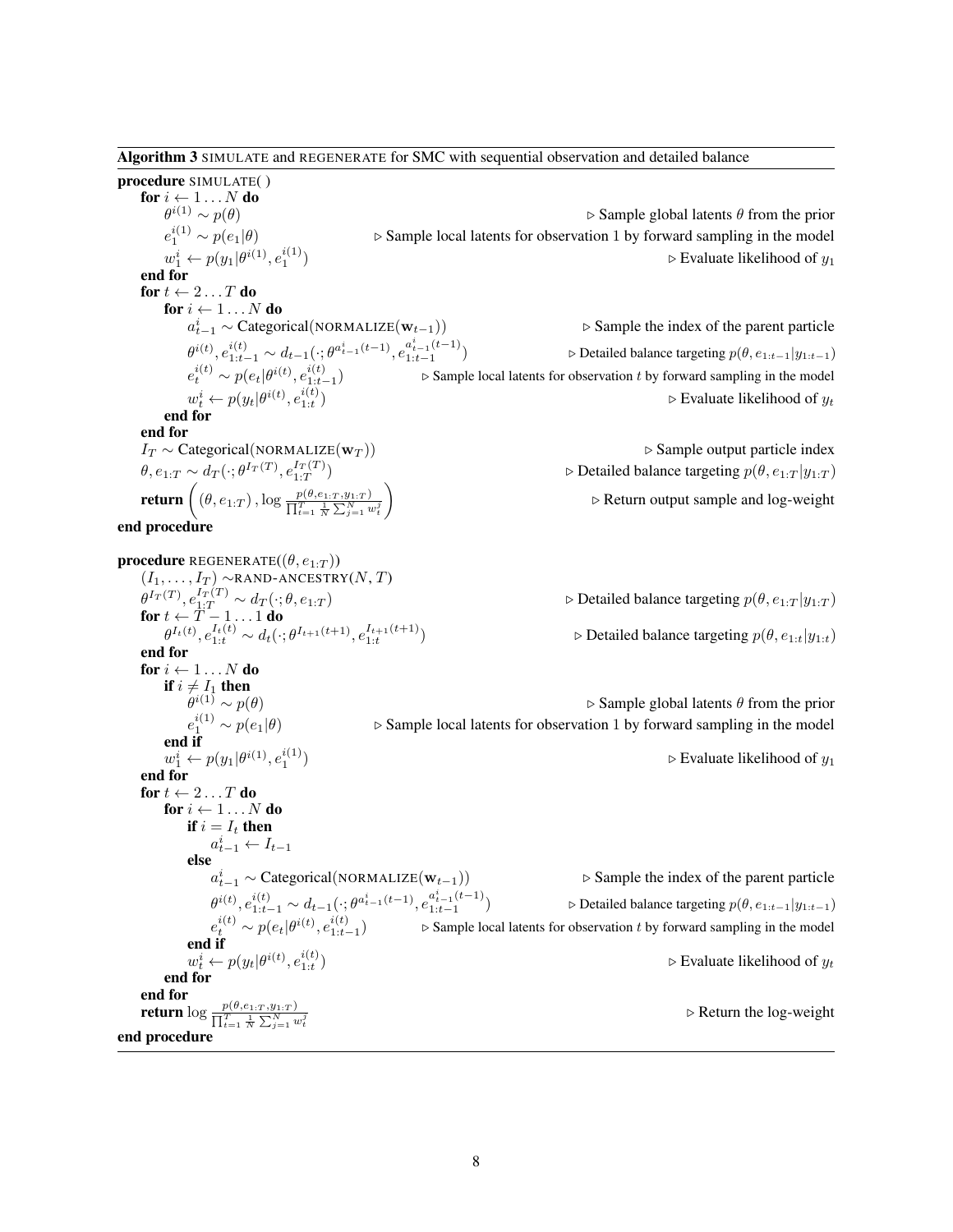Algorithm 3 SIMULATE and REGENERATE for SMC with sequential observation and detailed balance

procedure SIMULATE( ) for  $i \leftarrow 1 \dots N$  do  $\dot{\theta}^{i(1)} \sim p(\theta)$  $e_1^{i(1)}$ ⊳ Sample local latents for observation 1 by forward sampling in the model  $w_1^i \leftarrow p(y_1 | \theta^{i(1)}, e_1^{i(1)})$ end for for  $t \leftarrow 2 \dots T$  do for  $i \leftarrow 1 \dots N$  do  $a_t^i$  $\theta^{i(t)}, e_{1:t-1}^{i(t)} \sim d_{t-1}(\cdot; \theta^{a_{t-1}^i(t-1)}, e_{1:t-1}^{a_{t-1}^i(t-1)})$  $1:t-1$  $e_t^{i(t)} \sim p(e_t|\theta^{i(t)}, e_{1:t-1}^{i(t)})$  $\triangleright$  Sample local latents for observation t by forward sampling in the model  $w_t^i \leftarrow p(y_t|\theta^{i(t)}, e_{1:t}^{i(t)})$ 

 $\triangleright$  Evaluate likelihood of  $y_1$ ⊳ Sample the index of the parent particle  $\triangleright$  Detailed balance targeting  $p(\theta, e_{1:t-1}|y_{1:t-1})$ 

 $\triangleright$  Sample global latents  $\theta$  from the prior

 $\triangleright$  Evaluate likelihood of  $y_t$ 

output particle index

end for end for

| $I_T \sim \text{Categorical}(\text{NORMALIZE}(\mathbf{w}_T))$                                                                           | $\triangleright$ Sample output particle index                              |
|-----------------------------------------------------------------------------------------------------------------------------------------|----------------------------------------------------------------------------|
| $\theta, e_{1:T} \sim d_T(\cdot; \theta^{I_T(T)}, e_{1:T}^{I_T(T)})$                                                                    | $\triangleright$ Detailed balance targeting $p(\theta, e_{1:T}   y_{1:T})$ |
| <b>return</b> $\left( (\theta, e_{1:T}), \log \frac{p(\theta, e_{1:T}, y_{1:T})}{\prod_{t=1}^T \frac{1}{N} \sum_{j=1}^N w_t^j} \right)$ | $\triangleright$ Return output sample and log-weight                       |

#### end procedure

**procedure** REGENERATE $((\theta, e_{1:T}))$  $(I_1, \ldots, I_T) \sim$ RAND-ANCESTRY $(N, T)$  $\theta^{I_T(T)}, e_{1:T}^{I_T(T)} \sim d_T(\cdot; \theta, e_{1:T})$   $\triangleright$  Detailed balance targeting  $p(\theta, e_{1:T} | y_{1:T})$ for  $t \leftarrow \bar{T}-1 \ldots 1$  do  $\theta^{I_t(t)}, e_{1:t}^{I_t(t)} \sim d_t(\cdot; \theta^{I_{t+1}(t+1)}, e_{1:t}^{I_{t+1}(t+1)})$  $\triangleright$  Detailed balance targeting  $p(\theta, e_{1:t}|y_{1:t})$ end for for  $i \leftarrow 1 \dots N$  do if  $i \neq I_1$  then θ  $\triangleright$  Sample global latents  $\theta$  from the prior  $e_1^{i(1)}$ ⊳ Sample local latents for observation 1 by forward sampling in the model end if  $w_1^i \leftarrow p(y_1 | \theta^{i(1)}, e_1^{i(1)})$  $\triangleright$  Evaluate likelihood of  $y_1$ end for for  $t \leftarrow 2 \dots T$  do for  $i \leftarrow 1...N$  do if  $i = I_t$  then  $a_{t-1}^i \leftarrow I_{t-1}$ else  $a_{t-1}^i$  ∼ Categorical(NORMALIZE(w<sub>t−1</sub>)) **.** Sample the index of the parent particle  $\theta^{i(t)}, e_{1:t-1}^{i(t)} \sim d_{t-1}(\cdot; \theta^{a_{t-1}^i(t-1)}, e_{1:t-1}^{a_{t-1}^i(t-1)})$ 1:t−1  $\triangleright$  Detailed balance targeting  $p(\theta, e_{1:t-1}|y_{1:t-1})$  $e_t^{i(t)} \sim p(e_t|\theta^{i(t)}, e_{1:t-1}^{i(t)})$  $\triangleright$  Sample local latents for observation t by forward sampling in the model end if  $w_t^i \leftarrow p(y_t|\theta^{i(t)}, e_{1:t}^{i(t)})$  $\triangleright$  Evaluate likelihood of  $y_t$ end for end for return  $\log \frac{p(\theta, e_{1:T}, y_{1:T})}{\prod_{t=1}^T \frac{1}{N}\sum_{j=1}^N w_t^j}$  $\triangleright$  Return the log-weight end procedure